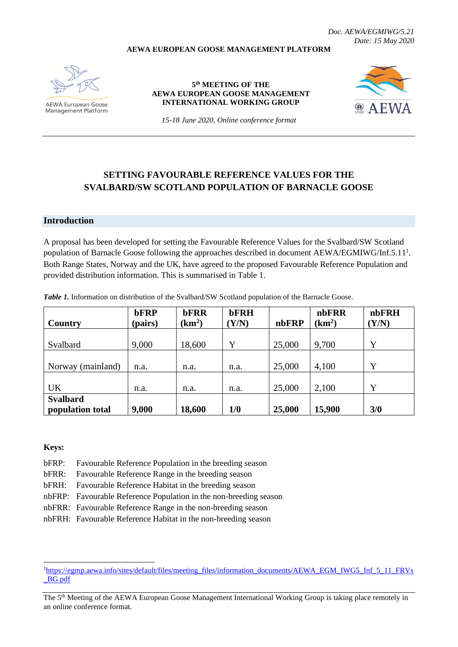**AEWA EUROPEAN GOOSE MANAGEMENT PLATFORM**

#### *Doc. AEWA/EGMIWG/5.21 Date: 15 May 2020*

**AEWA European Goose Management Platform** 

**5 th MEETING OF THE AEWA EUROPEAN GOOSE MANAGEMENT INTERNATIONAL WORKING GROUP**



*15-18 June 2020, Online conference format*

# **SETTING FAVOURABLE REFERENCE VALUES FOR THE SVALBARD/SW SCOTLAND POPULATION OF BARNACLE GOOSE**

## **Introduction**

A proposal has been developed for setting the Favourable Reference Values for the Svalbard/SW Scotland population of Barnacle Goose following the approaches described in document AEWA/EGMIWG/Inf.5.11<sup>1</sup>. Both Range States, Norway and the UK, have agreed to the proposed Favourable Reference Population and provided distribution information. This is summarised in Table 1.

| <b>Country</b>                      | <b>bFRP</b><br>(pairs) | <b>bFRR</b><br>(km <sup>2</sup> ) | <b>bFRH</b><br>(Y/N) | nbFRP  | nbFRR<br>(km <sup>2</sup> ) | nbFRH<br>(Y/N) |
|-------------------------------------|------------------------|-----------------------------------|----------------------|--------|-----------------------------|----------------|
| Svalbard                            | 9,000                  | 18,600                            | Y                    | 25,000 | 9,700                       | Y              |
| Norway (mainland)                   | n.a.                   | n.a.                              | n.a.                 | 25,000 | 4,100                       | Y              |
| <b>UK</b>                           | n.a.                   | n.a.                              | n.a.                 | 25,000 | 2,100                       | Y              |
| <b>Svalbard</b><br>population total | 9,000                  | 18,600                            | 1/0                  | 25,000 | 15,900                      | 3/0            |

*Table 1.* Information on distribution of the Svalbard/SW Scotland population of the Barnacle Goose.

**Keys:**

bFRP: Favourable Reference Population in the breeding season

bFRR: Favourable Reference Range in the breeding season

bFRH: Favourable Reference Habitat in the breeding season

nbFRP: Favourable Reference Population in the non-breeding season

nbFRR: Favourable Reference Range in the non-breeding season

nbFRH: Favourable Reference Habitat in the non-breeding season

<sup>&</sup>lt;sup>1</sup>[https://egmp.aewa.info/sites/default/files/meeting\\_files/information\\_documents/AEWA\\_EGM\\_IWG5\\_Inf\\_5\\_11\\_FRVs](https://egmp.aewa.info/sites/default/files/meeting_files/information_documents/AEWA_EGM_IWG5_Inf_5_11_FRVs_BG.pdf) [\\_BG.pdf](https://egmp.aewa.info/sites/default/files/meeting_files/information_documents/AEWA_EGM_IWG5_Inf_5_11_FRVs_BG.pdf)

The 5<sup>th</sup> Meeting of the AEWA European Goose Management International Working Group is taking place remotely in an online conference format.